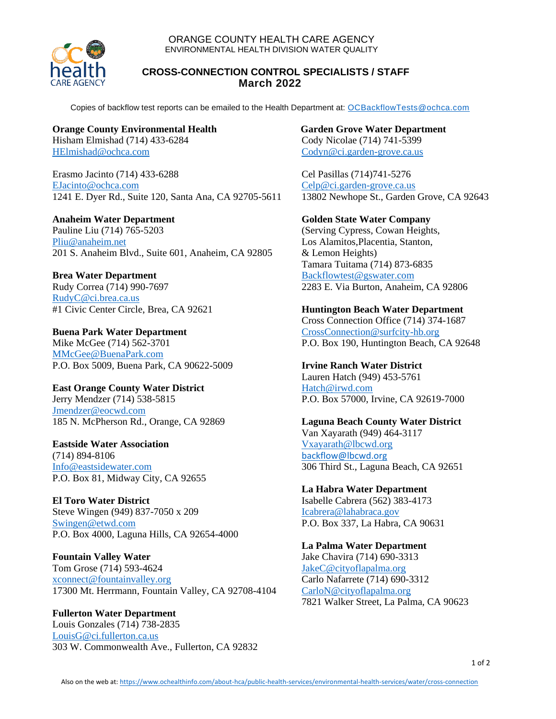

#### ORANGE COUNTY HEALTH CARE AGENCY ENVIRONMENTAL HEALTH DIVISION WATER QUALITY

#### **CROSS-CONNECTION CONTROL SPECIALISTS / STAFF March 2022**

Copies of backflow test reports can be emailed to the Health Department at: [OCBackflowTests@ochca.com](mailto:OCBackflowTests@ochca.com)

# **Orange County Environmental Health**

Hisham Elmishad (714) 433-6284 [HElmishad@ochca.com](mailto:HElmishad@ochca.com)

Erasmo Jacinto (714) 433-6288 [EJacinto@ochca.com](mailto:EJacinto@ochca.com) 1241 E. Dyer Rd., Suite 120, Santa Ana, CA 92705-5611

# **Anaheim Water Department**

Pauline Liu (714) 765-5203 [Pliu@anaheim.net](mailto:Pliu@anaheim.net) 201 S. Anaheim Blvd., Suite 601, Anaheim, CA 92805

**Brea Water Department** Rudy Correa (714) 990-7697 [RudyC@ci.brea.ca.us](mailto:RudyC@ci.brea.ca.us) #1 Civic Center Circle, Brea, CA 92621

**Buena Park Water Department** Mike McGee (714) 562-3701 [MMcGee@BuenaPark.com](mailto:MMcGee@BuenaPark.com) P.O. Box 5009, Buena Park, CA 90622-5009

**East Orange County Water District** Jerry Mendzer (714) 538-5815 [Jmendzer@eocwd.com](mailto:Jmendzer@eocwd.com) 185 N. McPherson Rd., Orange, CA 92869

**Eastside Water Association** (714) 894-8106 [Info@eastsidewater.com](mailto:Info@eastsidewater.com) P.O. Box 81, Midway City, CA 92655

**El Toro Water District** Steve Wingen (949) 837-7050 x 209 [Swingen@etwd.com](mailto:Swingen@etwd.com) P.O. Box 4000, Laguna Hills, CA 92654-4000

**Fountain Valley Water** Tom Grose (714) 593-4624 [xconnect@fountainvalley.org](mailto:xconnect@fountainvalley.org) 17300 Mt. Herrmann, Fountain Valley, CA 92708-4104

**Fullerton Water Department** Louis Gonzales (714) 738-2835 [LouisG@ci.fullerton.ca.us](mailto:LouisG@ci.fullerton.ca.us) 303 W. Commonwealth Ave., Fullerton, CA 92832 **Garden Grove Water Department** Cody Nicolae (714) 741-5399 [Codyn@ci.garden-grove.ca.us](mailto:codyn@ci.garden-grove.ca.us)

Cel Pasillas (714)741-5276 [Celp@ci.garden-grove.ca.us](mailto:Celp@ci.garden-grove.ca.us) 13802 Newhope St., Garden Grove, CA 92643

# **Golden State Water Company**

(Serving Cypress, Cowan Heights, Los Alamitos,Placentia, Stanton, & Lemon Heights) Tamara Tuitama (714) 873-6835 [Backflowtest@gswater.com](file://///ochca/hcashares/EH/Water%20Quality/Databases/Backflow/Backflowtest@gswater.com) 2283 E. Via Burton, Anaheim, CA 92806

#### **Huntington Beach Water Department**

Cross Connection Office (714) 374-1687 CrossConnection@surfcity-hb.org P.O. Box 190, Huntington Beach, CA 92648

**Irvine Ranch Water District** Lauren Hatch (949) 453-5761 [Hatch@irwd.com](mailto:Hatch@irwd.com) P.O. Box 57000, Irvine, CA 92619-7000

**Laguna Beach County Water District** Van Xayarath (949) 464-3117 [Vxayarath@lbcwd.org](mailto:Vxayarath@lbcwd.org) [backflow@lbcwd.org](mailto:backflow@lbcwd.org) 306 Third St., Laguna Beach, CA 92651

**La Habra Water Department** Isabelle Cabrera (562) 383-4173 [Icabrera@lahabraca.gov](mailto:Icabrera@lahabraca.gov) P.O. Box 337, La Habra, CA 90631

**La Palma Water Department** Jake Chavira (714) 690-3313 [JakeC@cityoflapalma.org](mailto:JakeC@cityoflapalma.org) Carlo Nafarrete (714) 690-3312 [CarloN@cityoflapalma.org](mailto:CarloN@cityoflapalma.org) 7821 Walker Street, La Palma, CA 90623